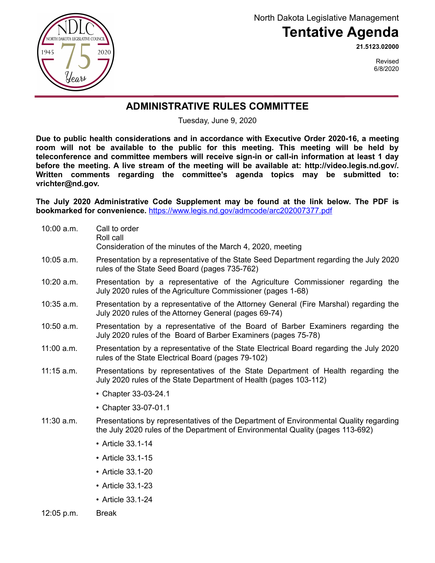NORTH DAKOTA LEGISLATIVE COUNCIL 1945 2020 Year

North Dakota Legislative Management

## **Tentative Agenda**

**21.5123.02000**

Revised 6/8/2020

## **ADMINISTRATIVE RULES COMMITTEE**

Tuesday, June 9, 2020

**Due to public health considerations and in accordance with Executive Order 2020-16, a meeting room will not be available to the public for this meeting. This meeting will be held by teleconference and committee members will receive sign-in or call-in information at least 1 day before the meeting. A live stream of the meeting will be available at: http://video.legis.nd.go[v/.](http://video.legis.nd.gov/) Written comments regarding the committee's agenda topics may be submitted to: vrichter@nd.gov.** 

**The July 2020 Administrative Code Supplement may be found at the link below. The PDF is bookmarked for convenience.** [https://www.legis.nd.gov/admcode/arc202007377.pdf](https://ndlegis.gov/admcode/arc202007377.pdf)

| 10:00 a.m.   | Call to order<br>Roll call<br>Consideration of the minutes of the March 4, 2020, meeting                                                                                |
|--------------|-------------------------------------------------------------------------------------------------------------------------------------------------------------------------|
| $10:05$ a.m. | Presentation by a representative of the State Seed Department regarding the July 2020<br>rules of the State Seed Board (pages 735-762)                                  |
| 10:20 a.m.   | Presentation by a representative of the Agriculture Commissioner regarding the<br>July 2020 rules of the Agriculture Commissioner (pages 1-68)                          |
| 10:35 a.m.   | Presentation by a representative of the Attorney General (Fire Marshal) regarding the<br>July 2020 rules of the Attorney General (pages 69-74)                          |
| $10:50$ a.m. | Presentation by a representative of the Board of Barber Examiners regarding the<br>July 2020 rules of the Board of Barber Examiners (pages 75-78)                       |
| $11:00$ a.m. | Presentation by a representative of the State Electrical Board regarding the July 2020<br>rules of the State Electrical Board (pages 79-102)                            |
| $11:15$ a.m. | Presentations by representatives of the State Department of Health regarding the<br>July 2020 rules of the State Department of Health (pages 103-112)                   |
|              | • Chapter 33-03-24.1                                                                                                                                                    |
|              | • Chapter 33-07-01.1                                                                                                                                                    |
| $11:30$ a.m. | Presentations by representatives of the Department of Environmental Quality regarding<br>the July 2020 rules of the Department of Environmental Quality (pages 113-692) |
|              | • Article 33.1-14                                                                                                                                                       |
|              | • Article 33.1-15                                                                                                                                                       |
|              | • Article 33.1-20                                                                                                                                                       |
|              | • Article 33.1-23                                                                                                                                                       |
|              | • Article 33.1-24                                                                                                                                                       |
| 12:05 p.m.   | <b>Break</b>                                                                                                                                                            |